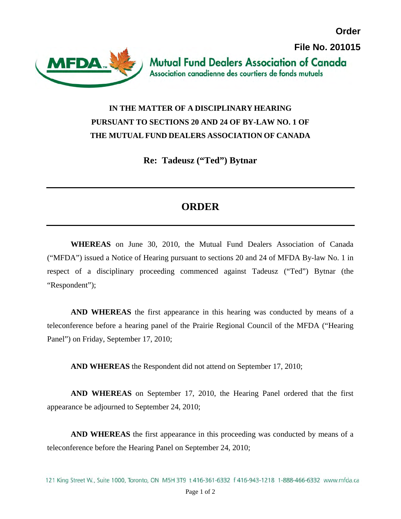

**Order**

## **IN THE MATTER OF A DISCIPLINARY HEARING PURSUANT TO SECTIONS 20 AND 24 OF BY-LAW NO. 1 OF THE MUTUAL FUND DEALERS ASSOCIATION OF CANADA**

**Re: Tadeusz ("Ted") Bytnar** 

## **ORDER**

**WHEREAS** on June 30, 2010, the Mutual Fund Dealers Association of Canada ("MFDA") issued a Notice of Hearing pursuant to sections 20 and 24 of MFDA By-law No. 1 in respect of a disciplinary proceeding commenced against Tadeusz ("Ted") Bytnar (the "Respondent");

**AND WHEREAS** the first appearance in this hearing was conducted by means of a teleconference before a hearing panel of the Prairie Regional Council of the MFDA ("Hearing Panel") on Friday, September 17, 2010;

**AND WHEREAS** the Respondent did not attend on September 17, 2010;

**AND WHEREAS** on September 17, 2010, the Hearing Panel ordered that the first appearance be adjourned to September 24, 2010;

**AND WHEREAS** the first appearance in this proceeding was conducted by means of a teleconference before the Hearing Panel on September 24, 2010;